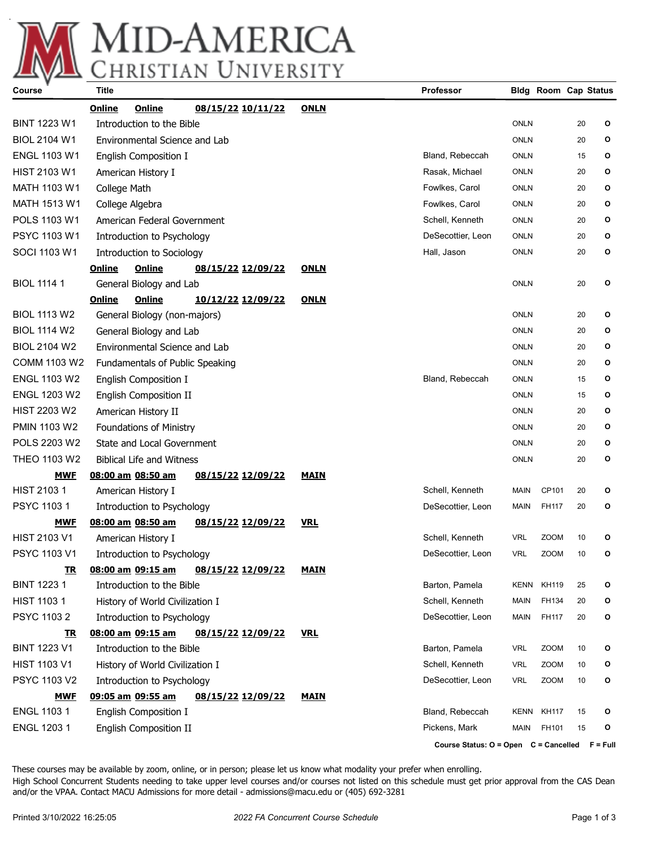

| <b>Course</b>       | Title                           |                                  |                          |             | Professor                                      |             | <b>Bldg Room Cap Status</b> |    |   |
|---------------------|---------------------------------|----------------------------------|--------------------------|-------------|------------------------------------------------|-------------|-----------------------------|----|---|
|                     | Online                          | Online                           | <u>08/15/22 10/11/22</u> | <b>ONLN</b> |                                                |             |                             |    |   |
| <b>BINT 1223 W1</b> | Introduction to the Bible       |                                  |                          |             |                                                | <b>ONLN</b> |                             | 20 | o |
| <b>BIOL 2104 W1</b> |                                 | Environmental Science and Lab    |                          |             |                                                | <b>ONLN</b> |                             | 20 | o |
| <b>ENGL 1103 W1</b> |                                 | English Composition I            |                          |             | Bland, Rebeccah                                | <b>ONLN</b> |                             | 15 | o |
| <b>HIST 2103 W1</b> |                                 | American History I               |                          |             | Rasak, Michael                                 | <b>ONLN</b> |                             | 20 | o |
| <b>MATH 1103 W1</b> | College Math                    |                                  |                          |             | Fowlkes, Carol                                 | <b>ONLN</b> |                             | 20 | o |
| MATH 1513 W1        |                                 | College Algebra                  |                          |             | Fowlkes, Carol                                 | <b>ONLN</b> |                             | 20 | o |
| POLS 1103 W1        | American Federal Government     |                                  |                          |             | Schell, Kenneth                                | <b>ONLN</b> |                             | 20 | o |
| PSYC 1103 W1        | Introduction to Psychology      |                                  |                          |             | DeSecottier, Leon                              | <b>ONLN</b> |                             | 20 | О |
| SOCI 1103 W1        |                                 | Introduction to Sociology        |                          |             | Hall, Jason                                    | <b>ONLN</b> |                             | 20 | o |
|                     | Online                          | <b>Online</b>                    | <u>08/15/22 12/09/22</u> | <b>ONLN</b> |                                                |             |                             |    |   |
| <b>BIOL 1114 1</b>  |                                 | General Biology and Lab          |                          |             |                                                | <b>ONLN</b> |                             | 20 | o |
|                     | Online                          | Online                           | <u>10/12/22 12/09/22</u> | <b>ONLN</b> |                                                |             |                             |    |   |
| <b>BIOL 1113 W2</b> |                                 | General Biology (non-majors)     |                          |             |                                                | <b>ONLN</b> |                             | 20 | o |
| <b>BIOL 1114 W2</b> |                                 | General Biology and Lab          |                          |             |                                                | <b>ONLN</b> |                             | 20 | o |
| <b>BIOL 2104 W2</b> |                                 | Environmental Science and Lab    |                          |             |                                                | <b>ONLN</b> |                             | 20 | o |
| <b>COMM 1103 W2</b> |                                 | Fundamentals of Public Speaking  |                          |             |                                                | <b>ONLN</b> |                             | 20 | o |
| <b>ENGL 1103 W2</b> | English Composition I           |                                  |                          |             | Bland, Rebeccah                                | <b>ONLN</b> |                             | 15 | o |
| <b>ENGL 1203 W2</b> | English Composition II          |                                  |                          |             |                                                | <b>ONLN</b> |                             | 15 | o |
| HIST 2203 W2        | American History II             |                                  |                          |             | <b>ONLN</b>                                    |             | 20                          | o  |   |
| <b>PMIN 1103 W2</b> | <b>Foundations of Ministry</b>  |                                  |                          |             | <b>ONLN</b>                                    |             | 20                          | o  |   |
| POLS 2203 W2        | State and Local Government      |                                  |                          |             | <b>ONLN</b>                                    |             | 20                          | О  |   |
| <b>THEO 1103 W2</b> |                                 | <b>Biblical Life and Witness</b> |                          |             |                                                | <b>ONLN</b> |                             | 20 | o |
| <b>MWF</b>          |                                 | 08:00 am 08:50 am                | 08/15/22 12/09/22        | <b>MAIN</b> |                                                |             |                             |    |   |
| HIST 2103 1         |                                 | American History I               |                          |             | Schell, Kenneth                                | <b>MAIN</b> | CP101                       | 20 | o |
| PSYC 1103 1         | Introduction to Psychology      |                                  |                          |             | DeSecottier, Leon                              | <b>MAIN</b> | FH117                       | 20 | o |
| <u>MWF</u>          |                                 | 08:00 am 08:50 am                | <u>08/15/22 12/09/22</u> | <b>VRL</b>  |                                                |             |                             |    |   |
| HIST 2103 V1        |                                 | American History I               |                          |             | Schell, Kenneth                                | <b>VRL</b>  | <b>ZOOM</b>                 | 10 | o |
| PSYC 1103 V1        |                                 | Introduction to Psychology       |                          |             | DeSecottier, Leon                              | <b>VRL</b>  | <b>ZOOM</b>                 | 10 | o |
| <u>ік</u>           |                                 | <u>08:00 am 09:15 am</u>         | <u>08/15/22 12/09/22</u> | <u>MAIN</u> |                                                |             |                             |    |   |
| <b>BINT 12231</b>   |                                 | Introduction to the Bible        |                          |             | Barton, Pamela                                 | KENN        | <b>KH119</b>                | 25 | o |
| <b>HIST 1103 1</b>  | History of World Civilization I |                                  |                          |             | Schell, Kenneth                                | MAIN        | FH134                       | 20 | o |
| PSYC 1103 2         |                                 | Introduction to Psychology       |                          |             | DeSecottier, Leon                              | <b>MAIN</b> | FH117                       | 20 | o |
| <u>TR</u>           |                                 | 08:00 am 09:15 am                | 08/15/22 12/09/22        | <b>VRL</b>  |                                                |             |                             |    |   |
| <b>BINT 1223 V1</b> |                                 | Introduction to the Bible        |                          |             | Barton, Pamela                                 | <b>VRL</b>  | ZOOM                        | 10 | o |
| <b>HIST 1103 V1</b> | History of World Civilization I |                                  |                          |             | Schell, Kenneth                                | <b>VRL</b>  | <b>ZOOM</b>                 | 10 | o |
| PSYC 1103 V2        | Introduction to Psychology      |                                  |                          |             | DeSecottier, Leon                              | <b>VRL</b>  | ZOOM                        | 10 | o |
| <b>MWF</b>          |                                 | 09:05 am 09:55 am                | 08/15/22 12/09/22        | <b>MAIN</b> |                                                |             |                             |    |   |
| ENGL 1103 1         |                                 | English Composition I            |                          |             | Bland, Rebeccah                                | KENN        | <b>KH117</b>                | 15 | o |
| ENGL 1203 1         |                                 | English Composition II           |                          |             | Pickens, Mark                                  | MAIN        | FH101                       | 15 | o |
|                     |                                 |                                  |                          |             | Course Status: O = Open C = Cancelled F = Full |             |                             |    |   |

These courses may be available by zoom, online, or in person; please let us know what modality your prefer when enrolling. High School Concurrent Students needing to take upper level courses and/or courses not listed on this schedule must get prior approval from the CAS Dean and/or the VPAA. Contact MACU Admissions for more detail - admissions@macu.edu or (405) 692-3281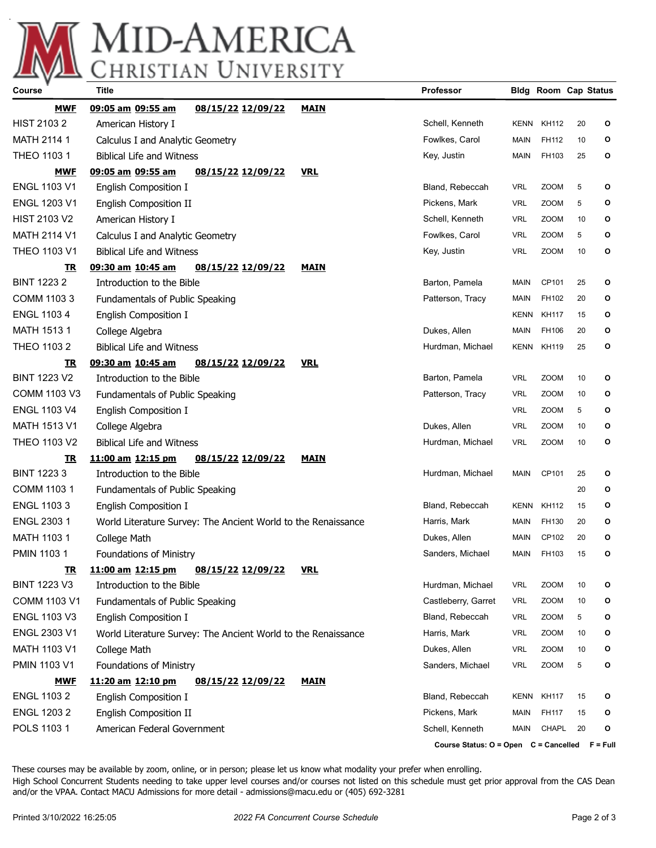

## MID-AMERICA

| Course              | <b>Title</b>                                                  |                                                               |             | <b>Professor</b>                               |             | <b>Bldg Room Cap Status</b> |    |   |
|---------------------|---------------------------------------------------------------|---------------------------------------------------------------|-------------|------------------------------------------------|-------------|-----------------------------|----|---|
| <b>MWF</b>          | 09:05 am 09:55 am                                             | 08/15/22 12/09/22                                             | <b>MAIN</b> |                                                |             |                             |    |   |
| <b>HIST 21032</b>   | American History I                                            |                                                               |             | Schell, Kenneth                                | KENN        | KH112                       | 20 | o |
| MATH 2114 1         | Calculus I and Analytic Geometry                              |                                                               |             | Fowlkes, Carol                                 | MAIN        | FH112                       | 10 | o |
| <b>THEO 1103 1</b>  | <b>Biblical Life and Witness</b>                              |                                                               |             | Key, Justin                                    | <b>MAIN</b> | FH103                       | 25 | o |
| <b>MWF</b>          | 09:05 am 09:55 am                                             | 08/15/22 12/09/22                                             | <b>VRL</b>  |                                                |             |                             |    |   |
| <b>ENGL 1103 V1</b> | English Composition I                                         |                                                               |             | Bland, Rebeccah                                | <b>VRL</b>  | <b>ZOOM</b>                 | 5  | О |
| ENGL 1203 V1        | <b>English Composition II</b>                                 |                                                               |             | Pickens, Mark                                  | <b>VRL</b>  | <b>ZOOM</b>                 | 5  | О |
| <b>HIST 2103 V2</b> | American History I                                            |                                                               |             | Schell, Kenneth                                | <b>VRL</b>  | <b>ZOOM</b>                 | 10 | o |
| <b>MATH 2114 V1</b> | Calculus I and Analytic Geometry                              |                                                               |             | Fowlkes, Carol                                 | <b>VRL</b>  | <b>ZOOM</b>                 | 5  | О |
| THEO 1103 V1        | <b>Biblical Life and Witness</b>                              |                                                               |             | Key, Justin                                    | <b>VRL</b>  | <b>ZOOM</b>                 | 10 | o |
| <u>TR</u>           | 09:30 am 10:45 am                                             | 08/15/22 12/09/22                                             | <b>MAIN</b> |                                                |             |                             |    |   |
| <b>BINT 12232</b>   | Introduction to the Bible                                     |                                                               |             | Barton, Pamela                                 | MAIN        | CP101                       | 25 | o |
| COMM 1103 3         | Fundamentals of Public Speaking                               |                                                               |             | Patterson, Tracy                               | MAIN        | FH102                       | 20 | О |
| <b>ENGL 11034</b>   | English Composition I                                         |                                                               |             |                                                | <b>KENN</b> | <b>KH117</b>                | 15 | o |
| MATH 1513 1         | College Algebra                                               |                                                               |             | Dukes, Allen                                   | MAIN        | FH106                       | 20 | О |
| THEO 1103 2         | <b>Biblical Life and Witness</b>                              |                                                               |             | Hurdman, Michael                               | <b>KENN</b> | <b>KH119</b>                | 25 | o |
| TR                  | 09:30 am 10:45 am                                             | 08/15/22 12/09/22                                             | <b>VRL</b>  |                                                |             |                             |    |   |
| <b>BINT 1223 V2</b> | Introduction to the Bible                                     |                                                               |             | Barton, Pamela                                 | <b>VRL</b>  | <b>ZOOM</b>                 | 10 | o |
| <b>COMM 1103 V3</b> | Fundamentals of Public Speaking                               |                                                               |             | Patterson, Tracy                               | <b>VRL</b>  | <b>ZOOM</b>                 | 10 | o |
| ENGL 1103 V4        | English Composition I                                         |                                                               |             |                                                | <b>VRL</b>  | <b>ZOOM</b>                 | 5  | o |
| <b>MATH 1513 V1</b> | College Algebra                                               |                                                               |             | Dukes, Allen                                   | <b>VRL</b>  | <b>ZOOM</b>                 | 10 | О |
| THEO 1103 V2        | <b>Biblical Life and Witness</b>                              |                                                               |             | Hurdman, Michael                               | <b>VRL</b>  | <b>ZOOM</b>                 | 10 | О |
| <u>TR</u>           | 11:00 am 12:15 pm                                             | 08/15/22 12/09/22                                             | <b>MAIN</b> |                                                |             |                             |    |   |
| <b>BINT 12233</b>   | Introduction to the Bible                                     |                                                               |             | Hurdman, Michael                               | MAIN        | CP101                       | 25 | О |
| COMM 1103 1         | Fundamentals of Public Speaking                               |                                                               |             |                                                |             |                             | 20 | o |
| <b>ENGL 11033</b>   | English Composition I                                         |                                                               |             | Bland, Rebeccah                                | <b>KENN</b> | KH112                       | 15 | o |
| ENGL 2303 1         | World Literature Survey: The Ancient World to the Renaissance |                                                               |             | Harris, Mark                                   | MAIN        | FH130                       | 20 | o |
| MATH 1103 1         | College Math                                                  |                                                               |             | Dukes, Allen                                   | MAIN        | CP102                       | 20 | o |
| <b>PMIN 11031</b>   | Foundations of Ministry                                       |                                                               |             | Sanders, Michael                               | MAIN        | FH103                       | 15 | o |
| <u>TR</u>           | 11:00 am 12:15 pm                                             | 08/15/22 12/09/22                                             | <u>VRL</u>  |                                                |             |                             |    |   |
| <b>BINT 1223 V3</b> | Introduction to the Bible                                     |                                                               |             | Hurdman, Michael                               | <b>VRL</b>  | <b>ZOOM</b>                 | 10 | О |
| COMM 1103 V1        | Fundamentals of Public Speaking                               |                                                               |             | Castleberry, Garret                            | <b>VRL</b>  | <b>ZOOM</b>                 | 10 | О |
| <b>ENGL 1103 V3</b> | English Composition I                                         |                                                               |             | Bland, Rebeccah                                | <b>VRL</b>  | ZOOM                        | 5  | О |
| ENGL 2303 V1        |                                                               | World Literature Survey: The Ancient World to the Renaissance |             | Harris, Mark                                   | <b>VRL</b>  | <b>ZOOM</b>                 | 10 | О |
| MATH 1103 V1        | College Math                                                  |                                                               |             | Dukes, Allen                                   | <b>VRL</b>  | <b>ZOOM</b>                 | 10 | О |
| PMIN 1103 V1        | <b>Foundations of Ministry</b>                                |                                                               |             | Sanders, Michael                               | <b>VRL</b>  | <b>ZOOM</b>                 | 5  | О |
| <u>MWF</u>          | 11:20 am 12:10 pm                                             | <u>08/15/22 12/09/22</u>                                      | <b>MAIN</b> |                                                |             |                             |    |   |
| <b>ENGL 11032</b>   | English Composition I                                         |                                                               |             | Bland, Rebeccah                                | KENN        | KH117                       | 15 | o |
| <b>ENGL 12032</b>   | English Composition II                                        |                                                               |             | Pickens, Mark                                  | <b>MAIN</b> | FH117                       | 15 | O |
| POLS 1103 1         | American Federal Government                                   |                                                               |             | Schell, Kenneth                                | MAIN        | CHAPL                       | 20 | O |
|                     |                                                               |                                                               |             | Course Status: O = Open C = Cancelled F = Full |             |                             |    |   |

These courses may be available by zoom, online, or in person; please let us know what modality your prefer when enrolling. High School Concurrent Students needing to take upper level courses and/or courses not listed on this schedule must get prior approval from the CAS Dean and/or the VPAA. Contact MACU Admissions for more detail - admissions@macu.edu or (405) 692-3281